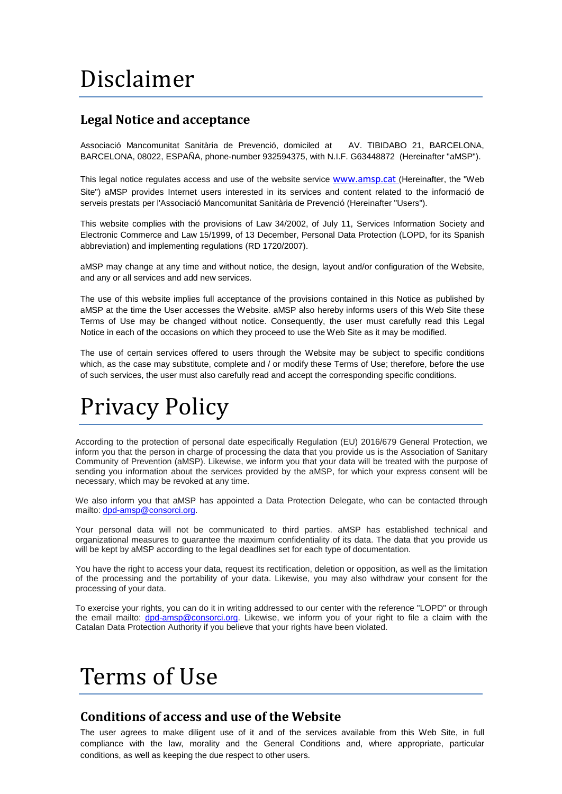# Disclaimer

### **Legal Notice and acceptance**

Associació Mancomunitat Sanitària de Prevenció, domiciled at AV. TIBIDABO 21, BARCELONA, BARCELONA, 08022, ESPAÑA, phone-number 932594375, with N.I.F. G63448872 (Hereinafter "aMSP").

This legal notice regulates access and use of the website service [www.amsp.cat](http://www.amsp.cat/) (Hereinafter, the "Web Site") aMSP provides Internet users interested in its services and content related to the informació de serveis prestats per l'Associació Mancomunitat Sanitària de Prevenció (Hereinafter "Users").

This website complies with the provisions of Law 34/2002, of July 11, Services Information Society and Electronic Commerce and Law 15/1999, of 13 December, Personal Data Protection (LOPD, for its Spanish abbreviation) and implementing regulations (RD 1720/2007).

aMSP may change at any time and without notice, the design, layout and/or configuration of the Website, and any or all services and add new services.

The use of this website implies full acceptance of the provisions contained in this Notice as published by aMSP at the time the User accesses the Website. aMSP also hereby informs users of this Web Site these Terms of Use may be changed without notice. Consequently, the user must carefully read this Legal Notice in each of the occasions on which they proceed to use the Web Site as it may be modified.

The use of certain services offered to users through the Website may be subject to specific conditions which, as the case may substitute, complete and / or modify these Terms of Use; therefore, before the use of such services, the user must also carefully read and accept the corresponding specific conditions.

# Privacy Policy

According to the protection of personal date especifically Regulation (EU) 2016/679 General Protection, we inform you that the person in charge of processing the data that you provide us is the Association of Sanitary Community of Prevention (aMSP). Likewise, we inform you that your data will be treated with the purpose of sending you information about the services provided by the aMSP, for which your express consent will be necessary, which may be revoked at any time.

We also inform you that aMSP has appointed a Data Protection Delegate, who can be contacted through mailto: [dpd-amsp@consorci.org.](mailto:dpd-amsp@consorci.org)

Your personal data will not be communicated to third parties. aMSP has established technical and organizational measures to guarantee the maximum confidentiality of its data. The data that you provide us will be kept by aMSP according to the legal deadlines set for each type of documentation.

You have the right to access your data, request its rectification, deletion or opposition, as well as the limitation of the processing and the portability of your data. Likewise, you may also withdraw your consent for the processing of your data.

To exercise your rights, you can do it in writing addressed to our center with the reference "LOPD" or through the email mailto: [dpd-amsp@consorci.org.](mailto:dpd-amsp@consorci.org) Likewise, we inform you of your right to file a claim with the Catalan Data Protection Authority if you believe that your rights have been violated.

# Terms of Use

#### **Conditions of access and use of the Website**

The user agrees to make diligent use of it and of the services available from this Web Site, in full compliance with the law, morality and the General Conditions and, where appropriate, particular conditions, as well as keeping the due respect to other users.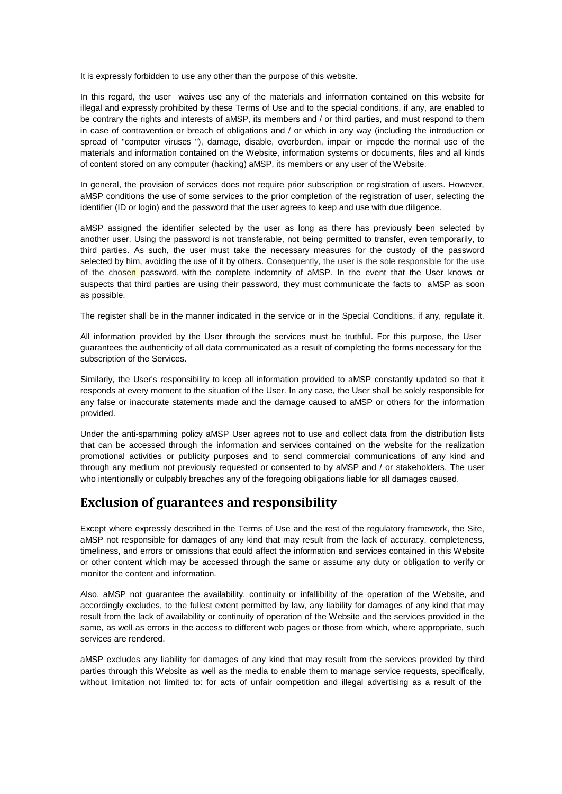It is expressly forbidden to use any other than the purpose of this website.

In this regard, the user waives use any of the materials and information contained on this website for illegal and expressly prohibited by these Terms of Use and to the special conditions, if any, are enabled to be contrary the rights and interests of aMSP, its members and / or third parties, and must respond to them in case of contravention or breach of obligations and / or which in any way (including the introduction or spread of "computer viruses "), damage, disable, overburden, impair or impede the normal use of the materials and information contained on the Website, information systems or documents, files and all kinds of content stored on any computer (hacking) aMSP, its members or any user of the Website.

In general, the provision of services does not require prior subscription or registration of users. However, aMSP conditions the use of some services to the prior completion of the registration of user, selecting the identifier (ID or login) and the password that the user agrees to keep and use with due diligence.

aMSP assigned the identifier selected by the user as long as there has previously been selected by another user. Using the password is not transferable, not being permitted to transfer, even temporarily, to third parties. As such, the user must take the necessary measures for the custody of the password selected by him, avoiding the use of it by others. Consequently, the user is the sole responsible for the use of the chosen password, with the complete indemnity of aMSP. In the event that the User knows or suspects that third parties are using their password, they must communicate the facts to aMSP as soon as possible.

The register shall be in the manner indicated in the service or in the Special Conditions, if any, regulate it.

All information provided by the User through the services must be truthful. For this purpose, the User guarantees the authenticity of all data communicated as a result of completing the forms necessary for the subscription of the Services.

Similarly, the User's responsibility to keep all information provided to aMSP constantly updated so that it responds at every moment to the situation of the User. In any case, the User shall be solely responsible for any false or inaccurate statements made and the damage caused to aMSP or others for the information provided.

Under the anti-spamming policy aMSP User agrees not to use and collect data from the distribution lists that can be accessed through the information and services contained on the website for the realization promotional activities or publicity purposes and to send commercial communications of any kind and through any medium not previously requested or consented to by aMSP and / or stakeholders. The user who intentionally or culpably breaches any of the foregoing obligations liable for all damages caused.

#### **Exclusion of guarantees and responsibility**

Except where expressly described in the Terms of Use and the rest of the regulatory framework, the Site, aMSP not responsible for damages of any kind that may result from the lack of accuracy, completeness, timeliness, and errors or omissions that could affect the information and services contained in this Website or other content which may be accessed through the same or assume any duty or obligation to verify or monitor the content and information.

Also, aMSP not guarantee the availability, continuity or infallibility of the operation of the Website, and accordingly excludes, to the fullest extent permitted by law, any liability for damages of any kind that may result from the lack of availability or continuity of operation of the Website and the services provided in the same, as well as errors in the access to different web pages or those from which, where appropriate, such services are rendered.

aMSP excludes any liability for damages of any kind that may result from the services provided by third parties through this Website as well as the media to enable them to manage service requests, specifically, without limitation not limited to: for acts of unfair competition and illegal advertising as a result of the